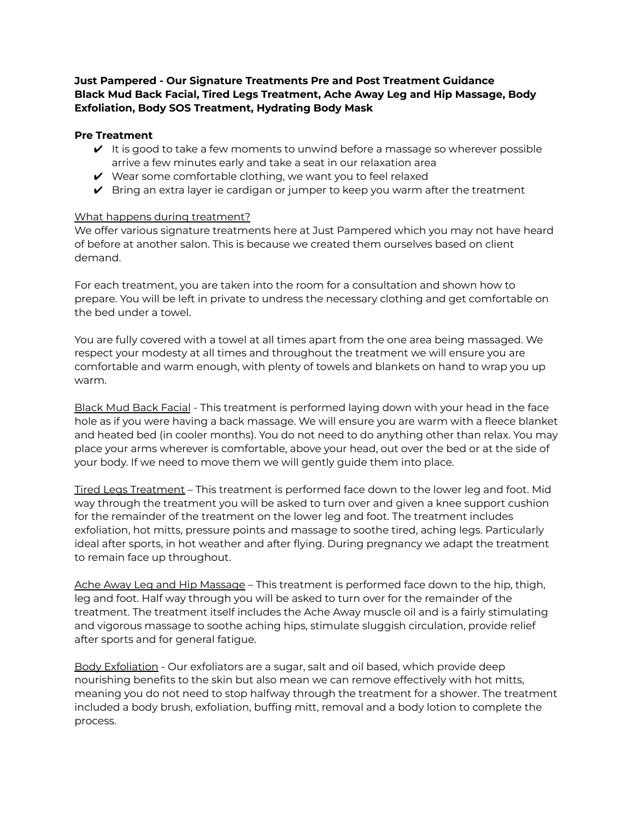**Just Pampered - Our Signature Treatments Pre and Post Treatment Guidance Black Mud Back Facial, Tired Legs Treatment, Ache Away Leg and Hip Massage, Body Exfoliation, Body SOS Treatment, Hydrating Body Mask**

## **Pre Treatment**

- $\vee$  It is good to take a few moments to unwind before a massage so wherever possible arrive a few minutes early and take a seat in our relaxation area
- $\vee$  Wear some comfortable clothing, we want you to feel relaxed
- $\triangledown$  Bring an extra layer ie cardigan or jumper to keep you warm after the treatment

## What happens during treatment?

We offer various signature treatments here at Just Pampered which you may not have heard of before at another salon. This is because we created them ourselves based on client demand.

For each treatment, you are taken into the room for a consultation and shown how to prepare. You will be left in private to undress the necessary clothing and get comfortable on the bed under a towel.

You are fully covered with a towel at all times apart from the one area being massaged. We respect your modesty at all times and throughout the treatment we will ensure you are comfortable and warm enough, with plenty of towels and blankets on hand to wrap you up warm.

Black Mud Back Facial - This treatment is performed laying down with your head in the face hole as if you were having a back massage. We will ensure you are warm with a fleece blanket and heated bed (in cooler months). You do not need to do anything other than relax. You may place your arms wherever is comfortable, above your head, out over the bed or at the side of your body. If we need to move them we will gently guide them into place.

Tired Legs Treatment – This treatment is performed face down to the lower leg and foot. Mid way through the treatment you will be asked to turn over and given a knee support cushion for the remainder of the treatment on the lower leg and foot. The treatment includes exfoliation, hot mitts, pressure points and massage to soothe tired, aching legs. Particularly ideal after sports, in hot weather and after flying. During pregnancy we adapt the treatment to remain face up throughout.

Ache Away Leg and Hip Massage – This treatment is performed face down to the hip, thigh, leg and foot. Half way through you will be asked to turn over for the remainder of the treatment. The treatment itself includes the Ache Away muscle oil and is a fairly stimulating and vigorous massage to soothe aching hips, stimulate sluggish circulation, provide relief after sports and for general fatigue.

Body Exfoliation - Our exfoliators are a sugar, salt and oil based, which provide deep nourishing benefits to the skin but also mean we can remove effectively with hot mitts, meaning you do not need to stop halfway through the treatment for a shower. The treatment included a body brush, exfoliation, buffing mitt, removal and a body lotion to complete the process.